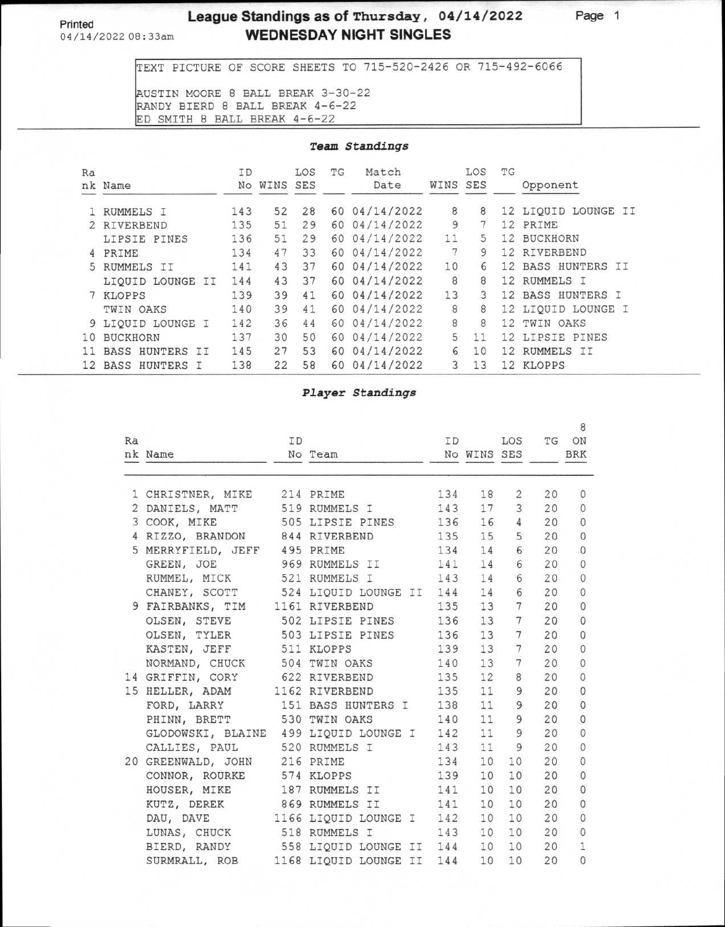# Printed **League Standings as of Thursday, 04/14/2022** Page 1<br>04/14/2022 08:33am **WEDNESDAY NIGHT SINGLES WEDNESDAY NIGHT SINGLES**

TEXT PICTURE OF SCORE SHEETS TO 715-520-2426 OR 715-492-6066

AUSTIN MOORE 8 BALL BREAK 3-30-22 RANDY BIERD 8 BALL BREAK 4-6-22 ED SMITH 8 BALL BREAK 4-6-22

#### **Team Standings**

| Ra |                        | ΙD  |          | LOS | TG | Match         |          | LOS | TG       |                        |
|----|------------------------|-----|----------|-----|----|---------------|----------|-----|----------|------------------------|
|    | nk Name                | No  | WINS SES |     |    | Date          | WINS SES |     |          | Opponent               |
|    | <b>RUMMELS I</b>       | 143 | 52       | 28  |    | 60 04/14/2022 | 8        | 8   |          | 12 LIOUID LOUNGE II    |
|    | RIVERBEND              | 135 | 51       | 29  | 60 | 04/14/2022    | 9        | 7   | $12^{1}$ | PRIME                  |
|    | LIPSIE PINES           | 136 | 51       | 29  | 60 | 04/14/2022    | 11       | 5   | 12       | <b>BUCKHORN</b>        |
| 4  | PRIME                  | 134 | 47       | 33  | 60 | 04/14/2022    | 7        | 9   | 12       | <b>RIVERBEND</b>       |
| 5. | <b>RUMMELS II</b>      | 141 | 43       | 37  | 60 | 04/14/2022    | 10       | 6   | 12       | <b>BASS HUNTERS II</b> |
|    | LIOUID LOUNGE II       | 144 | 43       | 37  |    | 60 04/14/2022 | 8        | 8   | 12       | <b>RUMMELS I</b>       |
| 7  | <b>KLOPPS</b>          | 139 | 39       | 41  |    | 60 04/14/2022 | 13       | 3   | 12       | <b>BASS HUNTERS I</b>  |
|    | TWIN OAKS              | 140 | 39       | 41  |    | 60 04/14/2022 | 8        | 8   | $12^{1}$ | LIOUID LOUNGE I        |
|    | 9 LIQUID LOUNGE I      | 142 | 36       | 44  | 60 | 04/14/2022    | 8        | 8   | 12       | TWIN OAKS              |
| 10 | <b>BUCKHORN</b>        | 137 | 30       | 50  | 60 | 04/14/2022    | 5        | 11  | 12       | LIPSIE PINES           |
|    | <b>BASS HUNTERS II</b> | 145 | 27       | 53  | 60 | 04/14/2022    | 6        | 10  | $12^{1}$ | RUMMELS II             |
|    | 12 BASS HUNTERS I      | 138 | 22       | 58  |    | 60 04/14/2022 | 3        | 13  | 12       | KLOPPS                 |

#### **Player Standings**

| Ra |                                             | ID |                                                |     | ID              | LOS             | TG           | 8<br>ON             |
|----|---------------------------------------------|----|------------------------------------------------|-----|-----------------|-----------------|--------------|---------------------|
|    | nk Name                                     |    | No Team                                        |     | No WINS SES     |                 |              | <b>BRK</b>          |
|    | 1 CHRISTNER, MIKE 214 PRIME                 |    |                                                |     | 134 18          |                 | $2 \quad 20$ | $\circ$             |
|    | 2 DANIELS, MATT 519 RUMMELS I               |    |                                                |     | 143 17          |                 | $3\quad 20$  | $\circ$             |
|    | 3 COOK, MIKE 505 LIPSIE PINES               |    |                                                |     | 136 16 4 20     |                 |              | $\circ$             |
|    | 4 RIZZO, BRANDON 844 RIVERBEND              |    |                                                |     | 135 15 5        |                 | 20           | $\circ$             |
|    | 5 MERRYFIELD, JEFF 495 PRIME                |    |                                                |     | 134 14 6 20     |                 |              | $\circ$             |
|    | GREEN, JOE 969 RUMMELS II                   |    |                                                |     | 141 14 6 20     |                 |              | $\circ$             |
|    | RUMMEL, MICK 521 RUMMELS I                  |    |                                                |     | 143 14 6 20     |                 |              | $\circ$             |
|    |                                             |    | CHANEY, SCOTT 524 LIQUID LOUNGE II 144 14 6 20 |     |                 |                 |              | $\theta$            |
|    | 9 FAIRBANKS, TIM 1161 RIVERBEND             |    |                                                |     | 135 13          |                 | 7 20         | $\Omega$            |
|    | OLSEN, STEVE 502 LIPSIE PINES               |    |                                                |     | 136 13 7 20     |                 |              | $\circ$             |
|    | OLSEN, TYLER 503 LIPSIE PINES               |    |                                                |     | 136 13 7 20     |                 |              | $\mathbf{0}$        |
|    | KASTEN, JEFF 511 KLOPPS                     |    |                                                |     | 139 13          |                 | 7 20         | $\circ$             |
|    |                                             |    | NORMAND, CHUCK 504 TWIN OAKS                   |     | 140 13          | $7\overline{ }$ | 20           | $\circ$             |
|    | 14 GRIFFIN, CORY 622 RIVERBEND              |    |                                                |     | 135 12          | 8               | 20           | $\mathbf{O}$        |
|    | 15 HELLER, ADAM 1162 RIVERBEND              |    |                                                |     | 135 11          | 9               | 20           | $\mathsf{O}\xspace$ |
|    |                                             |    | FORD, LARRY 151 BASS HUNTERS I 138 11 9        |     |                 |                 | 20           | $\circ$             |
|    | PHINN, BRETT 530 TWIN OAKS                  |    |                                                |     | 140 11 9 20     |                 |              | $\circ$             |
|    |                                             |    | GLODOWSKI, BLAINE 499 LIQUID LOUNGE I          |     | 142 11 9        |                 | 20           | $\circ$             |
|    |                                             |    | CALLIES, PAUL 520 RUMMELS I                    | 143 |                 | 11 9            | 20           | $\Omega$            |
|    | 20 GREENWALD, JOHN 216 PRIME                |    |                                                | 134 |                 | 10 10           | 20           | $\circ$             |
|    | CONNOR, ROURKE 574 KLOPPS                   |    |                                                |     | 139  10  10     |                 | 20           | $\mathbf{0}$        |
|    |                                             |    | HOUSER, MIKE 187 RUMMELS II                    |     | 141 10          |                 | 10 20        | $\circ$             |
|    |                                             |    | KUTZ, DEREK 869 RUMMELS II                     |     | 141 10          | 10              | 20           | $\circ$             |
|    |                                             |    | DAU, DAVE 1166 LIQUID LOUNGE I                 |     | 142 10          | 10              | 20           | $\overline{0}$      |
|    | LUNAS, CHUCK 518 RUMMELS I                  |    |                                                |     | 143  10  10  20 |                 |              | $\circ$             |
|    | BIERD, RANDY 558 LIQUID LOUNGE II 144 10 10 |    |                                                |     |                 |                 | 20           | $\mathbf{1}$        |
|    |                                             |    | SURMRALL, ROB 1168 LIQUID LOUNGE II 144 10 10  |     |                 |                 | 20           | $\Omega$            |